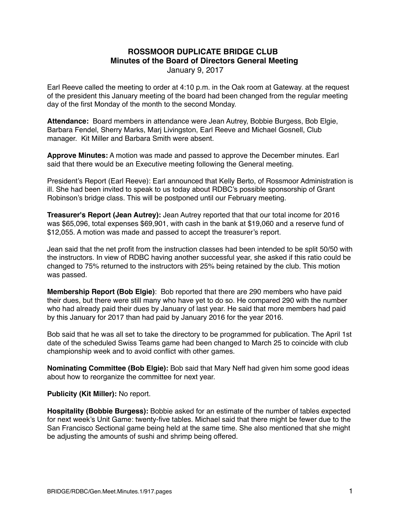## **ROSSMOOR DUPLICATE BRIDGE CLUB Minutes of the Board of Directors General Meeting**

January 9, 2017

Earl Reeve called the meeting to order at 4:10 p.m. in the Oak room at Gateway. at the request of the president this January meeting of the board had been changed from the regular meeting day of the first Monday of the month to the second Monday.

**Attendance:** Board members in attendance were Jean Autrey, Bobbie Burgess, Bob Elgie, Barbara Fendel, Sherry Marks, Marj Livingston, Earl Reeve and Michael Gosnell, Club manager. Kit Miller and Barbara Smith were absent.

**Approve Minutes:** A motion was made and passed to approve the December minutes. Earl said that there would be an Executive meeting following the General meeting.

President's Report (Earl Reeve): Earl announced that Kelly Berto, of Rossmoor Administration is ill. She had been invited to speak to us today about RDBC's possible sponsorship of Grant Robinson's bridge class. This will be postponed until our February meeting.

**Treasurer's Report (Jean Autrey):** Jean Autrey reported that that our total income for 2016 was \$65,096, total expenses \$69,901, with cash in the bank at \$19,060 and a reserve fund of \$12,055. A motion was made and passed to accept the treasurer's report.

Jean said that the net profit from the instruction classes had been intended to be split 50/50 with the instructors. In view of RDBC having another successful year, she asked if this ratio could be changed to 75% returned to the instructors with 25% being retained by the club. This motion was passed.

**Membership Report (Bob Elgie)**: Bob reported that there are 290 members who have paid their dues, but there were still many who have yet to do so. He compared 290 with the number who had already paid their dues by January of last year. He said that more members had paid by this January for 2017 than had paid by January 2016 for the year 2016.

Bob said that he was all set to take the directory to be programmed for publication. The April 1st date of the scheduled Swiss Teams game had been changed to March 25 to coincide with club championship week and to avoid conflict with other games.

**Nominating Committee (Bob Elgie):** Bob said that Mary Neff had given him some good ideas about how to reorganize the committee for next year.

## **Publicity (Kit Miller):** No report.

**Hospitality (Bobbie Burgess):** Bobbie asked for an estimate of the number of tables expected for next week's Unit Game: twenty-five tables. Michael said that there might be fewer due to the San Francisco Sectional game being held at the same time. She also mentioned that she might be adjusting the amounts of sushi and shrimp being offered.